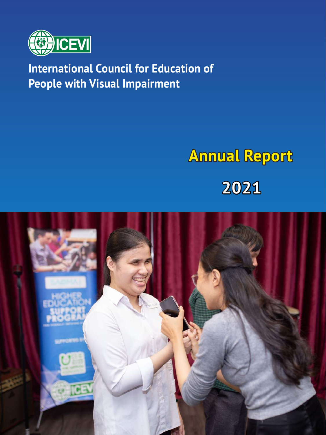

# **International Council for Education of People with Visual Impairment**

# **Annual Report 2021**

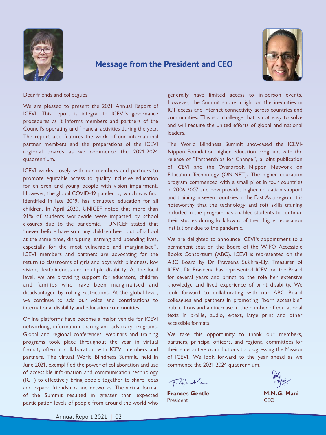

## **Message from the President and CEO**



Dear friends and colleagues

We are pleased to present the 2021 Annual Report of ICEVI. This report is integral to ICEVI's governance procedures as it informs members and partners of the Council's operating and financial activities during the year. The report also features the work of our international partner members and the preparations of the ICEVI regional boards as we commence the 2021-2024 quadrennium.

ICEVI works closely with our members and partners to promote equitable access to quality inclusive education for children and young people with vision impairment. However, the global COVID-19 pandemic, which was first identified in late 2019, has disrupted education for all children. In April 2020, UNICEF noted that more than 91% of students worldwide were impacted by school closures due to the pandemic. UNICEF stated that "never before have so many children been out of school at the same time, disrupting learning and upending lives, especially for the most vulnerable and marginalised". ICEVI members and partners are advocating for the return to classrooms of girls and boys with blindness, low vision, deafblindness and multiple disability. At the local level, we are providing support for educators, children and families who have been marginalised and disadvantaged by rolling restrictions. At the global level, we continue to add our voice and contributions to international disability and education communities.

Online platforms have become a major vehicle for ICEVI networking, information sharing and advocacy programs. Global and regional conferences, webinars and training programs took place throughout the year in virtual format, often in collaboration with ICEVI members and partners. The virtual World Blindness Summit, held in June 2021, exemplified the power of collaboration and use of accessible information and communication technology (ICT) to effectively bring people together to share ideas and expand friendships and networks. The virtual format of the Summit resulted in greater than expected participation levels of people from around the world who

generally have limited access to in-person events. However, the Summit shone a light on the inequities in ICT access and internet connectivity across countries and communities. This is a challenge that is not easy to solve and will require the united efforts of global and national leaders.

The World Blindness Summit showcased the ICEVI-Nippon Foundation higher education program, with the release of "Partnerships for Change", a joint publication of ICEVI and the Overbrook Nippon Network on Education Technology (ON-NET). The higher education program commenced with a small pilot in four countries in 2006-2007 and now provides higher education support and training in seven countries in the East Asia region. It is noteworthy that the technology and soft skills training included in the program has enabled students to continue their studies during lockdowns of their higher education institutions due to the pandemic.

We are delighted to announce ICEVI's appointment to a permanent seat on the Board of the WIPO Accessible Books Consortium (ABC). ICEVI is represented on the ABC Board by Dr Praveena Sukhraj-Ely, Treasurer of ICEVI. Dr Praveena has represented ICEVI on the Board for several years and brings to the role her extensive knowledge and lived experience of print disability. We look forward to collaborating with our ABC Board colleagues and partners in promoting "born accessible" publications and an increase in the number of educational texts in braille, audio, e-text, large print and other accessible formats.

We take this opportunity to thank our members, partners, principal officers, and regional committees for their substantive contributions to progressing the Mission of ICEVI. We look forward to the year ahead as we commence the 2021-2024 quadrennium.

F. Gentle

**Frances Gentle** President



**M.N.G. Mani CEO**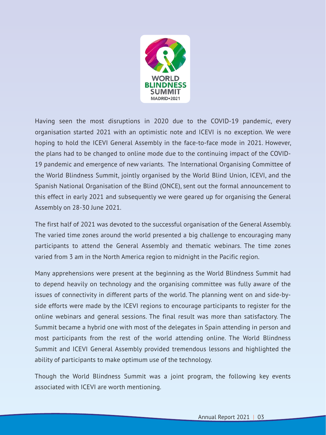

Having seen the most disruptions in 2020 due to the COVID-19 pandemic, every organisation started 2021 with an optimistic note and ICEVI is no exception. We were hoping to hold the ICEVI General Assembly in the face-to-face mode in 2021. However, the plans had to be changed to online mode due to the continuing impact of the COVID-19 pandemic and emergence of new variants. The International Organising Committee of the World Blindness Summit, jointly organised by the World Blind Union, ICEVI, and the Spanish National Organisation of the Blind (ONCE), sent out the formal announcement to this effect in early 2021 and subsequently we were geared up for organising the General Assembly on 28-30 June 2021.

The first half of 2021 was devoted to the successful organisation of the General Assembly. The varied time zones around the world presented a big challenge to encouraging many participants to attend the General Assembly and thematic webinars. The time zones varied from 3 am in the North America region to midnight in the Pacific region.

Many apprehensions were present at the beginning as the World Blindness Summit had to depend heavily on technology and the organising committee was fully aware of the issues of connectivity in different parts of the world. The planning went on and side-byside efforts were made by the ICEVI regions to encourage participants to register for the online webinars and general sessions. The final result was more than satisfactory. The Summit became a hybrid one with most of the delegates in Spain attending in person and most participants from the rest of the world attending online. The World Blindness Summit and ICEVI General Assembly provided tremendous lessons and highlighted the ability of participants to make optimum use of the technology.

Though the World Blindness Summit was a joint program, the following key events associated with ICEVI are worth mentioning.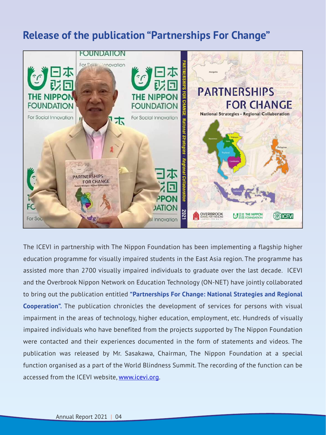# **Release of the publication "Partnerships For Change"**



The ICEVI in partnership with The Nippon Foundation has been implementing a flagship higher education programme for visually impaired students in the East Asia region. The programme has assisted more than 2700 visually impaired individuals to graduate over the last decade. ICEVI and the Overbrook Nippon Network on Education Technology (ON-NET) have jointly collaborated to bring out the publication entitled **"Partnerships For Change: National Strategies and Regional Cooperation".** The publication chronicles the development of services for persons with visual impairment in the areas of technology, higher education, employment, etc. Hundreds of visually impaired individuals who have benefited from the projects supported by The Nippon Foundation were contacted and their experiences documented in the form of statements and videos. The publication was released by Mr. Sasakawa, Chairman, The Nippon Foundation at a special function organised as a part of the World Blindness Summit. The recording of the function can be accessed from the ICEVI website, <u>[www.icevi.org](http://www.icevi.org)</u>.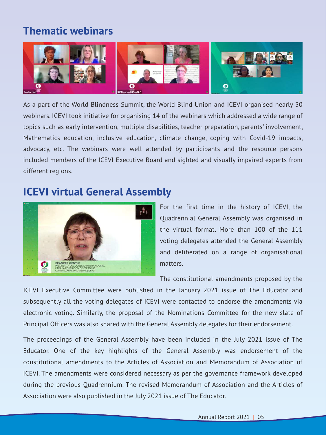# **Thematic webinars**



As a part of the World Blindness Summit, the World Blind Union and ICEVI organised nearly 30 webinars. ICEVI took initiative for organising 14 of the webinars which addressed a wide range of topics such as early intervention, multiple disabilities, teacher preparation, parents' involvement, Mathematics education, inclusive education, climate change, coping with Covid-19 impacts, advocacy, etc. The webinars were well attended by participants and the resource persons included members of the ICEVI Executive Board and sighted and visually impaired experts from different regions.

# **ICEVI virtual General Assembly**



For the first time in the history of ICEVI, the Quadrennial General Assembly was organised in the virtual format. More than 100 of the 111 voting delegates attended the General Assembly and deliberated on a range of organisational matters.

The constitutional amendments proposed by the

ICEVI Executive Committee were published in the January 2021 issue of The Educator and subsequently all the voting delegates of ICEVI were contacted to endorse the amendments via electronic voting. Similarly, the proposal of the Nominations Committee for the new slate of Principal Officers was also shared with the General Assembly delegates for their endorsement.

The proceedings of the General Assembly have been included in the July 2021 issue of The Educator. One of the key highlights of the General Assembly was endorsement of the constitutional amendments to the Articles of Association and Memorandum of Association of ICEVI. The amendments were considered necessary as per the governance framework developed during the previous Quadrennium. The revised Memorandum of Association and the Articles of Association were also published in the July 2021 issue of The Educator.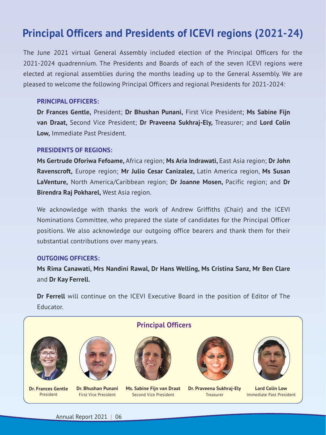# **Principal Officers and Presidents of ICEVI regions (2021-24)**

The June 2021 virtual General Assembly included election of the Principal Officers for the 2021-2024 quadrennium. The Presidents and Boards of each of the seven ICEVI regions were elected at regional assemblies during the months leading up to the General Assembly. We are pleased to welcome the following Principal Officers and regional Presidents for 2021-2024:

### **PRINCIPAL OFFICERS:**

**Dr Frances Gentle,** President; **Dr Bhushan Punani,** First Vice President; **Ms Sabine Fijn van Draat,** Second Vice President; **Dr Praveena Sukhraj-Ely,** Treasurer; and **Lord Colin Low,** Immediate Past President.

### **PRESIDENTS OF REGIONS:**

**Ms Gertrude Oforiwa Fefoame,** Africa region; **Ms Aria Indrawati,** East Asia region; **Dr John Ravenscroft,** Europe region; **Mr Julio Cesar Canizalez,** Latin America region, **Ms Susan LaVenture,** North America/Caribbean region; **Dr Joanne Mosen,** Pacific region; and **Dr Birendra Raj Pokharel,** West Asia region.

We acknowledge with thanks the work of Andrew Griffiths (Chair) and the ICEVI Nominations Committee, who prepared the slate of candidates for the Principal Officer positions. We also acknowledge our outgoing office bearers and thank them for their substantial contributions over many years.

### **OUTGOING OFFICERS:**

**Ms Rima Canawati, Mrs Nandini Rawal, Dr Hans Welling, Ms Cristina Sanz, Mr Ben Clare** and **Dr Kay Ferrell.**

**Dr Ferrell** will continue on the ICEVI Executive Board in the position of Editor of The Educator.



**Dr. Frances Gentle** President



**Dr. Bhushan Punani** First Vice President

# **Principal Officers**



**Ms. Sabine Fijn van Draat** Second Vice President



**Dr. Praveena Sukhraj-Ely** Treasurer



**Lord Colin Low** Immediate Past President

Annual Report 2021 | 06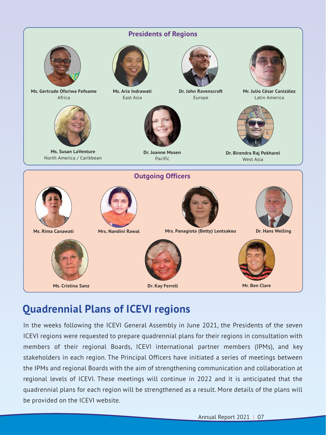

# **Quadrennial Plans of ICEVI regions**

In the weeks following the ICEVI General Assembly in June 2021, the Presidents of the seven ICEVI regions were requested to prepare quadrennial plans for their regions in consultation with members of their regional Boards, ICEVI international partner members (IPMs), and key stakeholders in each region. The Principal Officers have initiated a series of meetings between the IPMs and regional Boards with the aim of strengthening communication and collaboration at regional levels of ICEVI. These meetings will continue in 2022 and it is anticipated that the quadrennial plans for each region will be strengthened as a result. More details of the plans will be provided on the ICEVI website.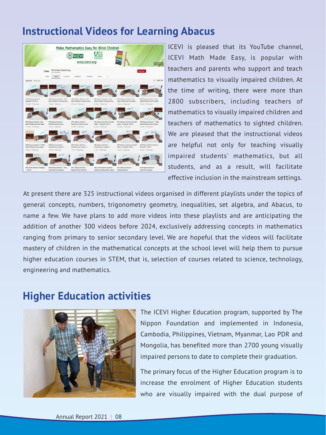# **Instructional Videos for Learning Abacus**

![](_page_7_Picture_1.jpeg)

ICEVI is pleased that its YouTube channel, ICEVI Math Made Easy, is popular with teachers and parents who support and teach mathematics to visually impaired children. At the time of writing, there were more than 2800 subscribers, including teachers of mathematics to visually impaired children and teachers of mathematics to sighted children. We are pleased that the instructional videos are helpful not only for teaching visually impaired students' mathematics, but all students, and as a result, will facilitate effective inclusion in the mainstream settings.

At present there are 325 instructional videos organised in different playlists under the topics of general concepts, numbers, trigonometry geometry, inequalities, set algebra, and Abacus, to name a few. We have plans to add more videos into these playlists and are anticipating the addition of another 300 videos before 2024, exclusively addressing concepts in mathematics ranging from primary to senior secondary level. We are hopeful that the videos will facilitate mastery of children in the mathematical concepts at the school level will help them to pursue higher education courses in STEM, that is, selection of courses related to science, technology, engineering and mathematics.

# **Higher Education activities**

![](_page_7_Picture_5.jpeg)

The ICEVI Higher Education program, supported by The Nippon Foundation and implemented in Indonesia, Cambodia, Philippines, Vietnam, Myanmar, Lao PDR and Mongolia, has benefited more than 2700 young visually impaired persons to date to complete their graduation.

The primary focus of the Higher Education program is to increase the enrolment of Higher Education students who are visually impaired with the dual purpose of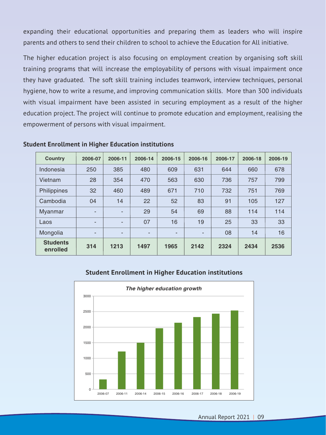expanding their educational opportunities and preparing them as leaders who will inspire parents and others to send their children to school to achieve the Education for All initiative.

The higher education project is also focusing on employment creation by organising soft skill training programs that will increase the employability of persons with visual impairment once they have graduated. The soft skill training includes teamwork, interview techniques, personal hygiene, how to write a resume, and improving communication skills. More than 300 individuals with visual impairment have been assisted in securing employment as a result of the higher education project. The project will continue to promote education and employment, realising the empowerment of persons with visual impairment.

| <b>Country</b>              | 2006-07                  | 2006-11                  | 2006-14 | 2006-15 | 2006-16 | 2006-17 | 2006-18 | 2006-19 |
|-----------------------------|--------------------------|--------------------------|---------|---------|---------|---------|---------|---------|
| Indonesia                   | 250                      | 385                      | 480     | 609     | 631     | 644     | 660     | 678     |
| Vietnam                     | 28                       | 354                      | 470     | 563     | 630     | 736     | 757     | 799     |
| Philippines                 | 32                       | 460                      | 489     | 671     | 710     | 732     | 751     | 769     |
| Cambodia                    | 04                       | 14                       | 22      | 52      | 83      | 91      | 105     | 127     |
| <b>Myanmar</b>              | $\overline{\phantom{0}}$ | $\overline{\phantom{0}}$ | 29      | 54      | 69      | 88      | 114     | 114     |
| Laos                        | $\overline{\phantom{0}}$ | -                        | 07      | 16      | 19      | 25      | 33      | 33      |
| Mongolia                    | ٠                        | ٠                        | -       | ٠       | ٠.      | 08      | 14      | 16      |
| <b>Students</b><br>enrolled | 314                      | 1213                     | 1497    | 1965    | 2142    | 2324    | 2434    | 2536    |

### **Student Enrollment in Higher Education institutions**

### **Student Enrollment in Higher Education institutions**

![](_page_8_Figure_5.jpeg)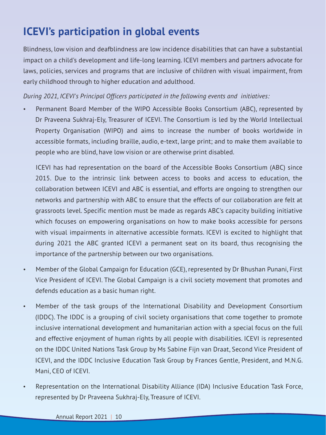# **ICEVI's participation in global events**

Blindness, low vision and deafblindness are low incidence disabilities that can have a substantial impact on a child's development and life-long learning. ICEVI members and partners advocate for laws, policies, services and programs that are inclusive of children with visual impairment, from early childhood through to higher education and adulthood.

*During 2021, ICEVI's Principal Officers participated in the following events and initiatives:*

Permanent Board Member of the WIPO Accessible Books Consortium (ABC), represented by Dr Praveena Sukhraj-Ely, Treasurer of ICEVI. The Consortium is led by the World Intellectual Property Organisation (WIPO) and aims to increase the number of books worldwide in accessible formats, including braille, audio, e-text, large print; and to make them available to people who are blind, have low vision or are otherwise print disabled.

ICEVI has had representation on the board of the Accessible Books Consortium (ABC) since 2015. Due to the intrinsic link between access to books and access to education, the collaboration between ICEVI and ABC is essential, and efforts are ongoing to strengthen our networks and partnership with ABC to ensure that the effects of our collaboration are felt at grassroots level. Specific mention must be made as regards ABC's capacity building initiative which focuses on empowering organisations on how to make books accessible for persons with visual impairments in alternative accessible formats. ICEVI is excited to highlight that during 2021 the ABC granted ICEVI a permanent seat on its board, thus recognising the importance of the partnership between our two organisations.

- Member of the Global Campaign for Education (GCE), represented by Dr Bhushan Punani, First Vice President of ICEVI. The Global Campaign is a civil society movement that promotes and defends education as a basic human right.
- Member of the task groups of the International Disability and Development Consortium (IDDC). The IDDC is a grouping of civil society organisations that come together to promote inclusive international development and humanitarian action with a special focus on the full and effective enjoyment of human rights by all people with disabilities. ICEVI is represented on the IDDC United Nations Task Group by Ms Sabine Fijn van Draat, Second Vice President of ICEVI, and the IDDC Inclusive Education Task Group by Frances Gentle, President, and M.N.G. Mani, CEO of ICEVI.
- Representation on the International Disability Alliance (IDA) Inclusive Education Task Force, represented by Dr Praveena Sukhraj-Ely, Treasure of ICEVI.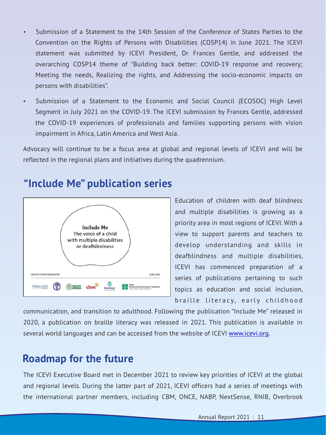- Submission of a Statement to the 14th Session of the Conference of States Parties to the Convention on the Rights of Persons with Disabilities (COSP14) in June 2021. The ICEVI statement was submitted by ICEVI President, Dr Frances Gentle, and addressed the overarching COSP14 theme of "Building back better: COVID-19 response and recovery; Meeting the needs, Realizing the rights, and Addressing the socio-economic impacts on persons with disabilities".
- Submission of a Statement to the Economic and Social Council (ECOSOC) High Level Segment in July 2021 on the COVID-19. The ICEVI submission by Frances Gentle, addressed the COVID-19 experiences of professionals and families supporting persons with vision impairment in Africa, Latin America and West Asia.

Advocacy will continue to be a focus area at global and regional levels of ICEVI and will be reflected in the regional plans and initiatives during the quadrennium.

![](_page_10_Figure_3.jpeg)

# **"Include Me" publication series**

Education of children with deaf blindness and multiple disabilities is growing as a priority area in most regions of ICEVI. With a view to support parents and teachers to develop understanding and skills in deafblindness and multiple disabilities, ICEVI has commenced preparation of a series of publications pertaining to such topics as education and social inclusion, braille literacy, early childhood

communication, and transition to adulthood. Following the publication "Include Me" released in 2020, a publication on braille literacy was released in 2021. This publication is available in several world languages and can be accessed from the website of ICEVI [www.icevi.org](http://www.icevi.org).

# **Roadmap for the future**

The ICEVI Executive Board met in December 2021 to review key priorities of ICEVI at the global and regional levels. During the latter part of 2021, ICEVI officers had a series of meetings with the international partner members, including CBM, ONCE, NABP, NextSense, RNIB, Overbrook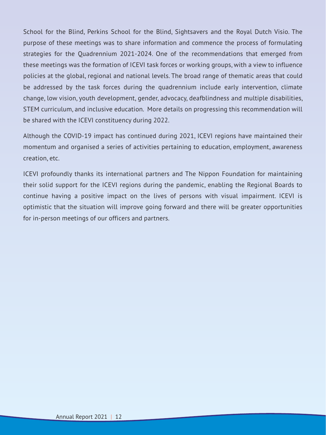School for the Blind, Perkins School for the Blind, Sightsavers and the Royal Dutch Visio. The purpose of these meetings was to share information and commence the process of formulating strategies for the Quadrennium 2021-2024. One of the recommendations that emerged from these meetings was the formation of ICEVI task forces or working groups, with a view to influence policies at the global, regional and national levels. The broad range of thematic areas that could be addressed by the task forces during the quadrennium include early intervention, climate change, low vision, youth development, gender, advocacy, deafblindness and multiple disabilities, STEM curriculum, and inclusive education. More details on progressing this recommendation will be shared with the ICEVI constituency during 2022.

Although the COVID-19 impact has continued during 2021, ICEVI regions have maintained their momentum and organised a series of activities pertaining to education, employment, awareness creation, etc.

ICEVI profoundly thanks its international partners and The Nippon Foundation for maintaining their solid support for the ICEVI regions during the pandemic, enabling the Regional Boards to continue having a positive impact on the lives of persons with visual impairment. ICEVI is optimistic that the situation will improve going forward and there will be greater opportunities for in-person meetings of our officers and partners.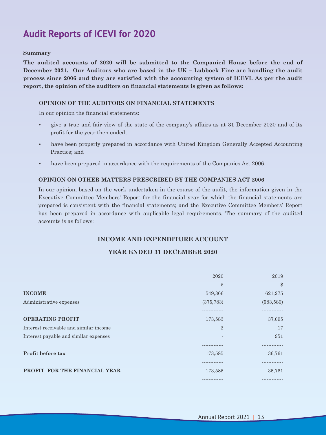# **Audit Reports of ICEVI for 2020**

#### **Summary**

**The audited accounts of 2020 will be submitted to the Companied House before the end of December 2021. Our Auditors who are based in the UK – Lubbock Fine are handling the audit process since 2006 and they are satisfied with the accounting system of ICEVI. As per the audit report, the opinion of the auditors on financial statements is given as follows:**

### **OPINION OF THE AUDITORS ON FINANCIAL STATEMENTS**

In our opinion the financial statements:

- give a true and fair view of the state of the company's affairs as at 31 December 2020 and of its profit for the year then ended;
- have been properly prepared in accordance with United Kingdom Generally Accepted Accounting Practice; and
- have been prepared in accordance with the requirements of the Companies Act 2006.

### **OPINION ON OTHER MATTERS PRESCRIBED BY THE COMPANIES ACT 2006**

In our opinion, based on the work undertaken in the course of the audit, the information given in the Executive Committee Members' Report for the financial year for which the financial statements are prepared is consistent with the financial statements; and the Executive Committee Members' Report has been prepared in accordance with applicable legal requirements. The summary of the audited accounts is as follows:

### **INCOME AND EXPENDITURE ACCOUNT**

### **YEAR ENDED 31 DECEMBER 2020**

|                                        | 2020           | 2019          |
|----------------------------------------|----------------|---------------|
|                                        | \$             | $\$\$         |
| <b>INCOME</b>                          | 549,366        | 621,275       |
| Administrative expenses                | (375, 783)     | (583, 580)    |
|                                        |                |               |
| <b>OPERATING PROFIT</b>                | 173,583        | 37,695        |
| Interest receivable and similar income | $\overline{2}$ | 17            |
| Interest payable and similar expenses  |                | 951           |
|                                        |                |               |
| Profit before tax                      | 173,585        | 36,761        |
|                                        |                |               |
| PROFIT FOR THE FINANCIAL YEAR          | 173,585        | 36,761        |
|                                        | -------------  | ------------- |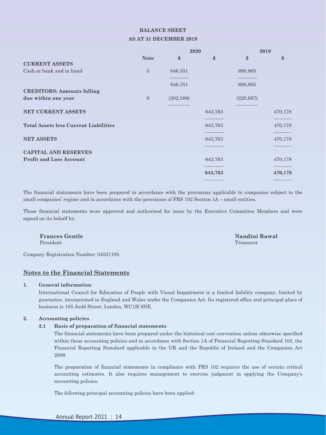#### **BALANCE SHEET**

#### **AS AT 31 DECEMBER 2019**

|                                              |                |                         | 2020        |                         | 2019                   |  |
|----------------------------------------------|----------------|-------------------------|-------------|-------------------------|------------------------|--|
|                                              | <b>Note</b>    | \$                      | \$          | \$                      | \$                     |  |
| <b>CURRENT ASSETS</b>                        |                |                         |             |                         |                        |  |
| Cash at bank and in hand                     | $\overline{5}$ | 846,351<br>------------ |             | 690,865<br>------------ |                        |  |
|                                              |                | 846,351                 |             | 690,865                 |                        |  |
| <b>CREDITORS: Amounts falling</b>            |                |                         |             |                         |                        |  |
| due within one year                          | 6              | (202, 588)              |             | (220, 687)              |                        |  |
| NET CURRENT ASSETS                           |                |                         | 643,763     |                         | 470,178                |  |
|                                              |                |                         |             |                         |                        |  |
| <b>Total Assets less Current Liabilities</b> |                |                         | 643,763     |                         | 470,178                |  |
|                                              |                |                         |             |                         | .                      |  |
| <b>NET ASSETS</b>                            |                |                         | 643,763     |                         | 470,178                |  |
|                                              |                |                         | .           |                         | -----------            |  |
| <b>CAPITAL AND RESERVES</b>                  |                |                         |             |                         |                        |  |
| <b>Profit and Loss Account</b>               |                |                         | 643,763     |                         | 470,178                |  |
|                                              |                |                         | <br>643,763 |                         | -----------<br>470,178 |  |
|                                              |                |                         |             |                         | ------------           |  |

The financial statements have been prepared in accordance with the provisions applicable to companies subject to the small companies' regime and in accordance with the provisions of FRS 102 Section 1A – small entities.

These financial statements were approved and authorised for issue by the Executive Committee Members and were signed on its behalf by:

Company Registration Number: 04521195

#### **Notes to the Financial Statements**

#### **1. General information**

International Council for Education of People with Visual Impairment is a limited liability company, limited by guarantee, incorporated in England and Wales under the Companies Act. Its registered office and principal place of business is 105 Judd Street, London, WC1H 9NE.

#### **2. Accounting policies**

#### **2.1 Basis of preparation of financial statements**

The financial statements have been prepared under the historical cost convention unless otherwise specified within these accounting policies and in accordance with Section 1A of Financial Reporting Standard 102, the Financial Reporting Standard applicable in the UK and the Republic of Ireland and the Companies Act 2006.

The preparation of financial statements in compliance with FRS 102 requires the use of certain critical accounting estimates. It also requires management to exercise judgment in applying the Company's accounting policies.

The following principal accounting policies have been applied:

**Frances Gentle Nandini Rawal** President Treasurer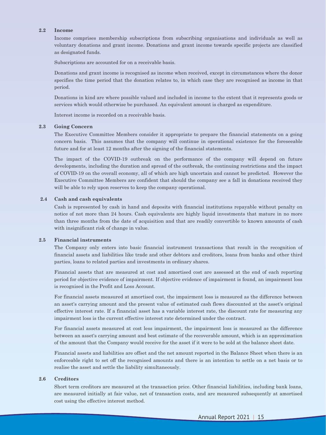#### **2.2 Income**

Income comprises membership subscriptions from subscribing organisations and individuals as well as voluntary donations and grant income. Donations and grant income towards specific projects are classified as designated funds.

Subscriptions are accounted for on a receivable basis.

Donations and grant income is recognised as income when received, except in circumstances where the donor specifies the time period that the donation relates to, in which case they are recognised as income in that period.

Donations in kind are where possible valued and included in income to the extent that it represents goods or services which would otherwise be purchased. An equivalent amount is charged as expenditure.

Interest income is recorded on a receivable basis.

#### **2.3 Going Concern**

The Executive Committee Members consider it appropriate to prepare the financial statements on a going concern basis. This assumes that the company will continue in operational existence for the foreseeable future and for at least 12 months after the signing of the financial statements.

The impact of the COVID-19 outbreak on the performance of the company will depend on future developments, including the duration and spread of the outbreak, the continuing restrictions and the impact of COVID-19 on the overall economy, all of which are high uncertain and cannot be predicted. However the Executive Committee Members are confident that should the company see a fall in donations received they will be able to rely upon reserves to keep the company operational.

#### **2.4 Cash and cash equivalents**

Cash is represented by cash in hand and deposits with financial institutions repayable without penalty on notice of not more than 24 hours. Cash equivalents are highly liquid investments that mature in no more than three months from the date of acquisition and that are readily convertible to known amounts of cash with insignificant risk of change in value.

#### **2.5 Financial instruments**

The Company only enters into basic financial instrument transactions that result in the recognition of financial assets and liabilities like trade and other debtors and creditors, loans from banks and other third parties, loans to related parties and investments in ordinary shares.

Financial assets that are measured at cost and amortised cost are assessed at the end of each reporting period for objective evidence of impairment. If objective evidence of impairment is found, an impairment loss is recognised in the Profit and Loss Account.

For financial assets measured at amortised cost, the impairment loss is measured as the difference between an asset's carrying amount and the present value of estimated cash flows discounted at the asset's original effective interest rate. If a financial asset has a variable interest rate, the discount rate for measuring any impairment loss is the current effective interest rate determined under the contract.

For financial assets measured at cost less impairment, the impairment loss is measured as the difference between an asset's carrying amount and best estimate of the recoverable amount, which is an approximation of the amount that the Company would receive for the asset if it were to be sold at the balance sheet date.

Financial assets and liabilities are offset and the net amount reported in the Balance Sheet when there is an enforceable right to set off the recognised amounts and there is an intention to settle on a net basis or to realise the asset and settle the liability simultaneously.

#### **2.6 Creditors**

Short term creditors are measured at the transaction price. Other financial liabilities, including bank loans, are measured initially at fair value, net of transaction costs, and are measured subsequently at amortised cost using the effective interest method.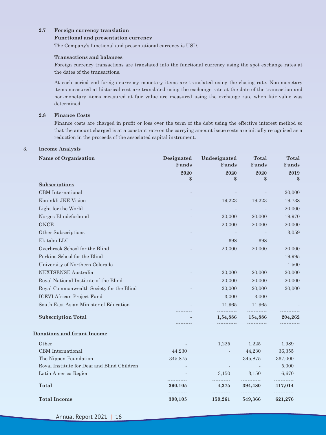#### **2.7 Foreign currency translation**

#### **Functional and presentation currency**

The Company's functional and presentational currency is USD.

#### **Transactions and balances**

Foreign currency transactions are translated into the functional currency using the spot exchange rates at the dates of the transactions.

At each period end foreign currency monetary items are translated using the closing rate. Non-monetary items measured at historical cost are translated using the exchange rate at the date of the transaction and non-monetary items measured at fair value are measured using the exchange rate when fair value was determined.

#### **2.8 Finance Costs**

Finance costs are charged in profit or loss over the term of the debt using the effective interest method so that the amount charged is at a constant rate on the carrying amount issue costs are initially recognised as a reduction in the proceeds of the associated capital instrument.

#### **3. Income Analysis**

| <b>Name of Organisation</b>                 | Designated<br>Funds | Undesignated<br>Funds | <b>Total</b><br>Funds | <b>Total</b><br>Funds |
|---------------------------------------------|---------------------|-----------------------|-----------------------|-----------------------|
|                                             | 2020                | 2020                  | 2020                  | 2019                  |
| Subscriptions                               | \$                  | \$                    | \$                    | \$                    |
| CBM International                           |                     |                       |                       | 20,000                |
| Koninkli JKE Vision                         |                     | 19,223                | 19,223                | 19,738                |
| Light for the World                         |                     |                       |                       | 20,000                |
| Norges Blindeforbund                        |                     | 20,000                | 20,000                | 19,970                |
| <b>ONCE</b>                                 |                     | 20,000                | 20,000                | 20,000                |
| Other Subscriptions                         |                     |                       |                       | 3,059                 |
| Ekitabu LLC                                 |                     | 698                   | 698                   |                       |
| Overbrook School for the Blind              |                     | 20,000                | 20,000                | 20,000                |
| Perkins School for the Blind                |                     |                       |                       | 19,995                |
| University of Northern Colorado             |                     |                       |                       | 1,500                 |
| <b>NEXTSENSE Australia</b>                  |                     | 20,000                | 20,000                | 20,000                |
| Royal National Institute of the Blind       |                     | 20,000                | 20,000                | 20,000                |
| Royal Commonwealth Society for the Blind    |                     | 20,000                | 20,000                | 20,000                |
| <b>ICEVI</b> African Project Fund           |                     | 3,000                 | 3,000                 |                       |
| South East Asian Minister of Education      |                     | 11,965                | 11,965                |                       |
| <b>Subscription Total</b>                   |                     | 1,54,886              | 154,886               | 204,262               |
| <b>Donations and Grant Income</b>           |                     |                       |                       |                       |
| Other                                       |                     | 1,225                 | 1,225                 | 1.989                 |
| CBM International                           | 44,230              |                       | 44,230                | 36,355                |
| The Nippon Foundation                       | 345,875             |                       | 345,875               | 367,000               |
| Royal Institute for Deaf and Blind Children |                     |                       |                       | 5,000                 |
| Latin America Region                        |                     | 3,150                 | 3,150                 | 6,670<br>             |
| <b>Total</b>                                | 390,105<br>.        | 4,375                 | 394,480<br>.          | 417,014<br>.          |
| <b>Total Income</b>                         | 390,105             | 159,261               | 549,366               | 621,276               |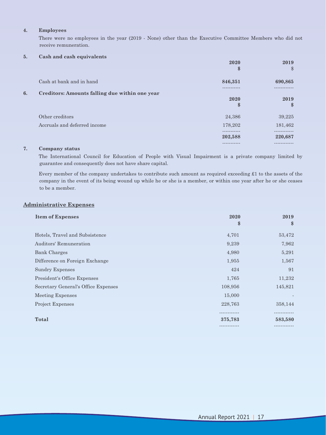#### **4. Employees**

There were no employees in the year (2019 - None) other than the Executive Committee Members who did not receive remuneration.

#### **5. Cash and cash equivalents**

|    |                                                | 2020<br>\$             | 2019<br>$\$\$        |
|----|------------------------------------------------|------------------------|----------------------|
|    | Cash at bank and in hand                       | 846,351                | 690,865              |
| 6. | Creditors: Amounts falling due within one year |                        |                      |
|    |                                                | 2020<br>\$             | 2019<br>$\mathbf{s}$ |
|    | Other creditors                                | 24,386                 | 39,225               |
|    | Accruals and deferred income                   | 178,202                | 181,462              |
|    |                                                | -----------<br>202,588 | 220,687              |
|    |                                                |                        |                      |

#### **7. Company status**

The International Council for Education of People with Visual Impairment is a private company limited by guarantee and consequently does not have share capital.

Every member of the company undertakes to contribute such amount as required exceeding £1 to the assets of the company in the event of its being wound up while he or she is a member, or within one year after he or she ceases to be a member.

### **Administrative Expenses**

| <b>Item of Expenses</b>             | 2020<br>\$   | 2019<br>$\$\$ |
|-------------------------------------|--------------|---------------|
| Hotels, Travel and Subsistence      | 4,701        | 53,472        |
| Auditors' Remuneration              | 9,239        | 7,962         |
| <b>Bank Charges</b>                 | 4,980        | 5,291         |
| Difference on Foreign Exchange      | 1,955        | 1,567         |
| <b>Sundry Expenses</b>              | 424          | 91            |
| President's Office Expenses         | 1,765        | 11,232        |
| Secretary General's Office Expenses | 108,956      | 145,821       |
| Meeting Expenses                    | 15,000       |               |
| <b>Project Expenses</b>             | 228,763      | 358,144       |
|                                     |              |               |
| Total                               | 375,783      | 583,580       |
|                                     | ------------ | .             |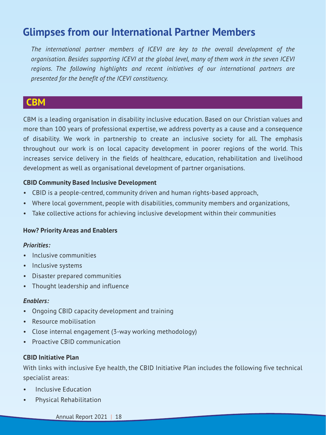# **Glimpses from our International Partner Members**

*The international partner members of ICEVI are key to the overall development of the organisation. Besides supporting ICEVI at the global level, many of them work in the seven ICEVI regions. The following highlights and recent initiatives of our international partners are presented for the benefit of the ICEVI constituency.*

# **CBM**

CBM is a leading organisation in disability inclusive education. Based on our Christian values and more than 100 years of professional expertise, we address poverty as a cause and a consequence of disability. We work in partnership to create an inclusive society for all. The emphasis throughout our work is on local capacity development in poorer regions of the world. This increases service delivery in the fields of healthcare, education, rehabilitation and livelihood development as well as organisational development of partner organisations.

### **CBID Community Based Inclusive Development**

- CBID is a people-centred, community driven and human rights-based approach,
- Where local government, people with disabilities, community members and organizations,
- Take collective actions for achieving inclusive development within their communities

### **How? Priority Areas and Enablers**

### *Priorities:*

- Inclusive communities
- Inclusive systems
- Disaster prepared communities
- Thought leadership and influence

### *Enablers:*

- Ongoing CBID capacity development and training
- Resource mobilisation
- Close internal engagement (3-way working methodology)
- Proactive CBID communication

### **CBID Initiative Plan**

With links with inclusive Eye health, the CBID Initiative Plan includes the following five technical specialist areas:

- Inclusive Education
- Physical Rehabilitation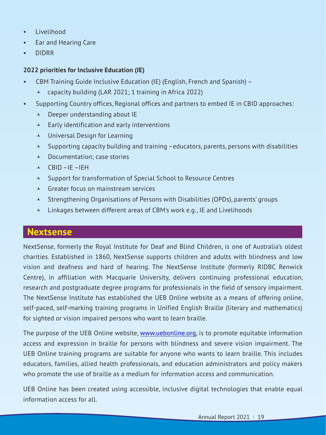- Livelihood
- Ear and Hearing Care
- DIDRR

### **2022 priorities for Inclusive Education (IE)**

- CBM Training Guide Inclusive Education (IE) (English, French and Spanish)
	- $\lambda$  capacity building (LAR 2021; 1 training in Africa 2022)
- Supporting Country offices, Regional offices and partners to embed IE in CBID approaches:
	- $\triangle$  Deeper understanding about IE
	- $\lambda$  Early identification and early interventions
	- $\lambda$  Universal Design for Learning
	- $\lambda$  Supporting capacity building and training –educators, parents, persons with disabilities
	- $\lambda$  Documentation; case stories
	- $\triangle$  CBID IF IFH
	- © Support for transformation of Special School to Resource Centres
	- $\triangle$  Greater focus on mainstream services
	- © Strengthening Organisations of Persons with Disabilities (OPDs), parents' groups
	- $\triangle$  Linkages between different areas of CBM's work e.g., IE and Livelihoods

# **Nextsense**

NextSense, formerly the Royal Institute for Deaf and Blind Children, is one of Australia's oldest charities. Established in 1860, NextSense supports children and adults with blindness and low vision and deafness and hard of hearing. The NextSense Institute (formerly RIDBC Renwick Centre), in affiliation with Macquarie University, delivers continuing professional education, research and postgraduate degree programs for professionals in the field of sensory impairment. The NextSense Institute has established the UEB Online website as a means of offering online, self-paced, self-marking training programs in Unified English Braille (literary and mathematics) for sighted or vision impaired persons who want to learn braille.

The purpose of the UEB Online website, <u>[www.uebonline.org](http://www.uebonline.org)</u>, is to promote equitable information access and expression in braille for persons with blindness and severe vision impairment. The UEB Online training programs are suitable for anyone who wants to learn braille. This includes educators, families, allied health professionals, and education administrators and policy makers who promote the use of braille as a medium for information access and communication.

UEB Online has been created using accessible, inclusive digital technologies that enable equal information access for all.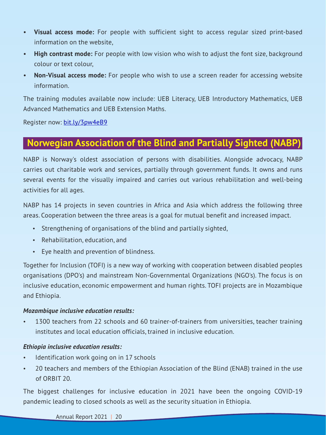- **Visual access mode:** For people with sufficient sight to access regular sized print-based information on the website,
- **High contrast mode:** For people with low vision who wish to adjust the font size, background colour or text colour,
- **Non-Visual access mode:** For people who wish to use a screen reader for accessing website information.

The training modules available now include: UEB Literacy, UEB Introductory Mathematics, UEB Advanced Mathematics and UEB Extension Maths.

Register now: [bit.ly/3pw4eB9](file:///\\\\nr-fp-03\\Home%20Dirs\\fgentle\\ICEVI\\Reports\\Annual%20Reports\\2021\\ICEVI%20Annual%20Report%202021%20-%2010%20February%2022.docx)

# **Norwegian Association of the Blind and Partially Sighted (NABP)**

NABP is Norway's oldest association of persons with disabilities. Alongside advocacy, NABP carries out charitable work and services, partially through government funds. It owns and runs several events for the visually impaired and carries out various rehabilitation and well-being activities for all ages.

NABP has 14 projects in seven countries in Africa and Asia which address the following three areas. Cooperation between the three areas is a goal for mutual benefit and increased impact.

- Strengthening of organisations of the blind and partially sighted,
- Rehabilitation, education, and
- Eye health and prevention of blindness.

Together for Inclusion (TOFI) is a new way of working with cooperation between disabled peoples organisations (DPO's) and mainstream Non-Governmental Organizations (NGO's). The focus is on inclusive education, economic empowerment and human rights. TOFI projects are in Mozambique and Ethiopia.

### *Mozambique inclusive education results:*

1300 teachers from 22 schools and 60 trainer-of-trainers from universities, teacher training institutes and local education officials, trained in inclusive education.

### *Ethiopia inclusive education results:*

- Identification work going on in 17 schools
- 20 teachers and members of the Ethiopian Association of the Blind (ENAB) trained in the use of ORBIT 20.

The biggest challenges for inclusive education in 2021 have been the ongoing COVID-19 pandemic leading to closed schools as well as the security situation in Ethiopia.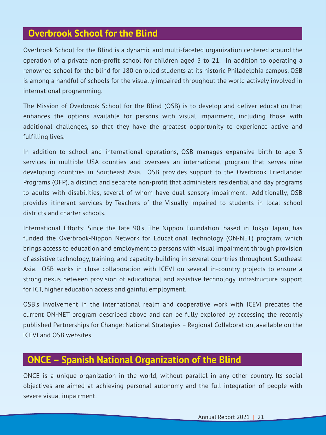# **Overbrook School for the Blind**

Overbrook School for the Blind is a dynamic and multi-faceted organization centered around the operation of a private non-profit school for children aged 3 to 21. In addition to operating a renowned school for the blind for 180 enrolled students at its historic Philadelphia campus, OSB is among a handful of schools for the visually impaired throughout the world actively involved in international programming.

The Mission of Overbrook School for the Blind (OSB) is to develop and deliver education that enhances the options available for persons with visual impairment, including those with additional challenges, so that they have the greatest opportunity to experience active and fulfilling lives.

In addition to school and international operations, OSB manages expansive birth to age 3 services in multiple USA counties and oversees an international program that serves nine developing countries in Southeast Asia. OSB provides support to the Overbrook Friedlander Programs (OFP), a distinct and separate non-profit that administers residential and day programs to adults with disabilities, several of whom have dual sensory impairment. Additionally, OSB provides itinerant services by Teachers of the Visually Impaired to students in local school districts and charter schools.

International Efforts: Since the late 90's, The Nippon Foundation, based in Tokyo, Japan, has funded the Overbrook-Nippon Network for Educational Technology (ON-NET) program, which brings access to education and employment to persons with visual impairment through provision of assistive technology, training, and capacity-building in several countries throughout Southeast Asia. OSB works in close collaboration with ICEVI on several in-country projects to ensure a strong nexus between provision of educational and assistive technology, infrastructure support for ICT, higher education access and gainful employment.

OSB's involvement in the international realm and cooperative work with ICEVI predates the current ON-NET program described above and can be fully explored by accessing the recently published Partnerships for Change: National Strategies – Regional Collaboration, available on the ICEVI and OSB websites.

# **ONCE – Spanish National Organization of the Blind**

ONCE is a unique organization in the world, without parallel in any other country. Its social objectives are aimed at achieving personal autonomy and the full integration of people with severe visual impairment.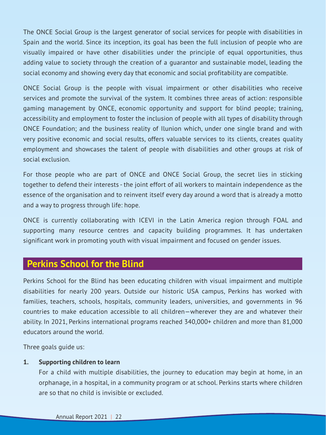The ONCE Social Group is the largest generator of social services for people with disabilities in Spain and the world. Since its inception, its goal has been the full inclusion of people who are visually impaired or have other disabilities under the principle of equal opportunities, thus adding value to society through the creation of a guarantor and sustainable model, leading the social economy and showing every day that economic and social profitability are compatible.

ONCE Social Group is the people with visual impairment or other disabilities who receive services and promote the survival of the system. It combines three areas of action: responsible gaming management by ONCE, economic opportunity and support for blind people; training, accessibility and employment to foster the inclusion of people with all types of disability through ONCE Foundation; and the business reality of Ilunion which, under one single brand and with very positive economic and social results, offers valuable services to its clients, creates quality employment and showcases the talent of people with disabilities and other groups at risk of social exclusion.

For those people who are part of ONCE and ONCE Social Group, the secret lies in sticking together to defend their interests - the joint effort of all workers to maintain independence as the essence of the organisation and to reinvent itself every day around a word that is already a motto and a way to progress through life: hope.

ONCE is currently collaborating with ICEVI in the Latin America region through FOAL and supporting many resource centres and capacity building programmes. It has undertaken significant work in promoting youth with visual impairment and focused on gender issues.

# **Perkins School for the Blind**

Perkins School for the Blind has been educating children with visual impairment and multiple disabilities for nearly 200 years. Outside our historic USA campus, Perkins has worked with families, teachers, schools, hospitals, community leaders, universities, and governments in 96 countries to make education accessible to all children—wherever they are and whatever their ability. In 2021, Perkins international programs reached 340,000+ children and more than 81,000 educators around the world.

Three goals guide us:

### **1. Supporting children to learn**

For a child with multiple disabilities, the journey to education may begin at home, in an orphanage, in a hospital, in a community program or at school. Perkins starts where children are so that no child is invisible or excluded.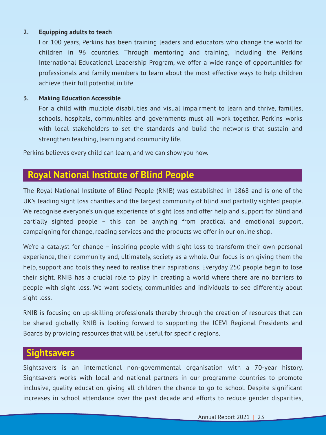### **2. Equipping adults to teach**

For 100 years, Perkins has been training leaders and educators who change the world for children in 96 countries. Through mentoring and training, including the Perkins International Educational Leadership Program, we offer a wide range of opportunities for professionals and family members to learn about the most effective ways to help children achieve their full potential in life.

### **3. Making Education Accessible**

For a child with multiple disabilities and visual impairment to learn and thrive, families, schools, hospitals, communities and governments must all work together. Perkins works with local stakeholders to set the standards and build the networks that sustain and strengthen teaching, learning and community life.

Perkins believes every child can learn, and we can show you how.

# **Royal National Institute of Blind People**

The Royal National Institute of Blind People (RNIB) was established in 1868 and is one of the UK's leading sight loss charities and the largest community of blind and partially sighted people. We recognise everyone's unique experience of sight loss and offer help and support for blind and partially sighted people – this can be anything from practical and emotional support, campaigning for change, reading services and the products we offer in our online shop.

We're a catalyst for change – inspiring people with sight loss to transform their own personal experience, their community and, ultimately, society as a whole. Our focus is on giving them the help, support and tools they need to realise their aspirations. Everyday 250 people begin to lose their sight. RNIB has a crucial role to play in creating a world where there are no barriers to people with sight loss. We want society, communities and individuals to see differently about sight loss.

RNIB is focusing on up-skilling professionals thereby through the creation of resources that can be shared globally. RNIB is looking forward to supporting the ICEVI Regional Presidents and Boards by providing resources that will be useful for specific regions.

# **Sightsavers**

Sightsavers is an international non-governmental organisation with a 70-year history. Sightsavers works with local and national partners in our programme countries to promote inclusive, quality education, giving all children the chance to go to school. Despite significant increases in school attendance over the past decade and efforts to reduce gender disparities,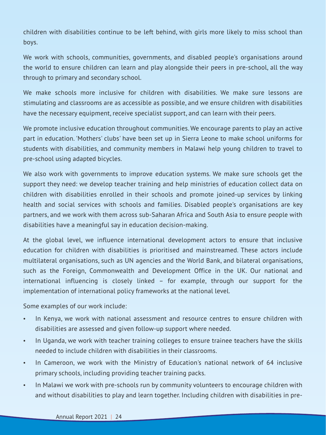children with disabilities continue to be left behind, with girls more likely to miss school than boys.

We work with schools, communities, governments, and disabled people's organisations around the world to ensure children can learn and play alongside their peers in pre-school, all the way through to primary and secondary school.

We make schools more inclusive for children with disabilities. We make sure lessons are stimulating and classrooms are as accessible as possible, and we ensure children with disabilities have the necessary equipment, receive specialist support, and can learn with their peers.

We promote inclusive education throughout communities. We encourage parents to play an active part in education. 'Mothers' clubs' have been set up in Sierra Leone to make school uniforms for students with disabilities, and community members in Malawi help young children to travel to pre-school using adapted bicycles.

We also work with governments to improve education systems. We make sure schools get the support they need: we develop teacher training and help ministries of education collect data on children with disabilities enrolled in their schools and promote joined-up services by linking health and social services with schools and families. Disabled people's organisations are key partners, and we work with them across sub-Saharan Africa and South Asia to ensure people with disabilities have a meaningful say in education decision-making.

At the global level, we influence international development actors to ensure that inclusive education for children with disabilities is prioritised and mainstreamed. These actors include multilateral organisations, such as UN agencies and the World Bank, and bilateral organisations, such as the Foreign, Commonwealth and Development Office in the UK. Our national and international influencing is closely linked – for example, through our support for the implementation of international policy frameworks at the national level.

Some examples of our work include:

- In Kenya, we work with national assessment and resource centres to ensure children with disabilities are assessed and given follow-up support where needed.
- In Uganda, we work with teacher training colleges to ensure trainee teachers have the skills needed to include children with disabilities in their classrooms.
- In Cameroon, we work with the Ministry of Education's national network of 64 inclusive primary schools, including providing teacher training packs.
- In Malawi we work with pre-schools run by community volunteers to encourage children with and without disabilities to play and learn together. Including children with disabilities in pre-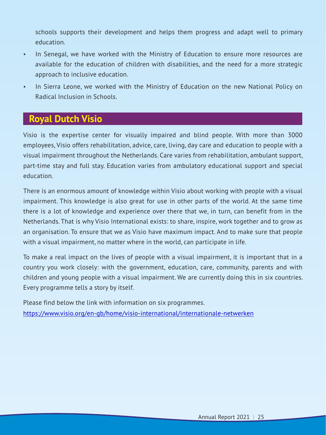schools supports their development and helps them progress and adapt well to primary education.

- In Senegal, we have worked with the Ministry of Education to ensure more resources are available for the education of children with disabilities, and the need for a more strategic approach to inclusive education.
- In Sierra Leone, we worked with the Ministry of Education on the new National Policy on Radical Inclusion in Schools.

# **Royal Dutch Visio**

Visio is the expertise center for visually impaired and blind people. With more than 3000 employees, Visio offers rehabilitation, advice, care, living, day care and education to people with a visual impairment throughout the Netherlands. Care varies from rehabilitation, ambulant support, part-time stay and full stay. Education varies from ambulatory educational support and special education.

There is an enormous amount of knowledge within Visio about working with people with a visual impairment. This knowledge is also great for use in other parts of the world. At the same time there is a lot of knowledge and experience over there that we, in turn, can benefit from in the Netherlands. That is why Visio International exists: to share, inspire, work together and to grow as an organisation. To ensure that we as Visio have maximum impact. And to make sure that people with a visual impairment, no matter where in the world, can participate in life.

To make a real impact on the lives of people with a visual impairment, it is important that in a country you work closely: with the government, education, care, community, parents and with children and young people with a visual impairment. We are currently doing this in six countries. Every programme tells a story by itself.

Please find below the link with information on six programmes. <https://www.visio.org/en-gb/home/visio-international/internationale-netwerken>